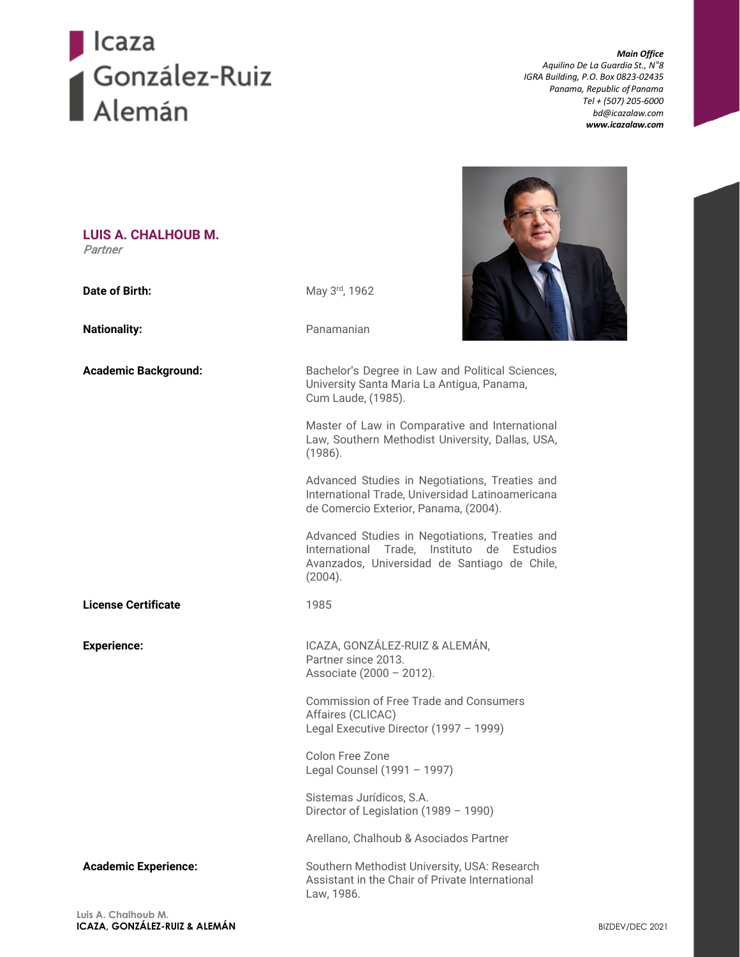

*Main Office Aquilino De La Guardia St., N°8 IGRA Building, P.O. Box 0823-02435 Panama, Republic ofPanama Tel + (507) 205-6000 [bd@icazalaw.com](mailto:bd@icazalaw.com) [www.icazalaw.com](http://www.icazalaw.com/)*

| LUIS A. CHALHOUB M.<br>Partner |                                                                                                                                                         |
|--------------------------------|---------------------------------------------------------------------------------------------------------------------------------------------------------|
| Date of Birth:                 | May 3rd, 1962                                                                                                                                           |
| <b>Nationality:</b>            | Panamanian                                                                                                                                              |
| <b>Academic Background:</b>    | Bachelor's Degree in Law and Political Sciences,<br>University Santa Maria La Antigua, Panama,<br>Cum Laude, (1985).                                    |
|                                | Master of Law in Comparative and International<br>Law, Southern Methodist University, Dallas, USA,<br>(1986).                                           |
|                                | Advanced Studies in Negotiations, Treaties and<br>International Trade, Universidad Latinoamericana<br>de Comercio Exterior, Panama, (2004).             |
|                                | Advanced Studies in Negotiations, Treaties and<br>International Trade, Instituto de Estudios<br>Avanzados, Universidad de Santiago de Chile,<br>(2004). |
| <b>License Certificate</b>     | 1985                                                                                                                                                    |
| <b>Experience:</b>             | ICAZA, GONZÁLEZ-RUIZ & ALEMÁN,<br>Partner since 2013.<br>Associate (2000 - 2012).                                                                       |
|                                | <b>Commission of Free Trade and Consumers</b><br>Affaires (CLICAC)<br>Legal Executive Director (1997 - 1999)                                            |
|                                | Colon Free Zone<br>Legal Counsel (1991 - 1997)                                                                                                          |
|                                | Sistemas Jurídicos, S.A.<br>Director of Legislation (1989 - 1990)                                                                                       |
|                                | Arellano, Chalhoub & Asociados Partner                                                                                                                  |
| <b>Academic Experience:</b>    | Southern Methodist University, USA: Research<br>Assistant in the Chair of Private International<br>Law, 1986.                                           |
| Luis A. Chalhoub M.            |                                                                                                                                                         |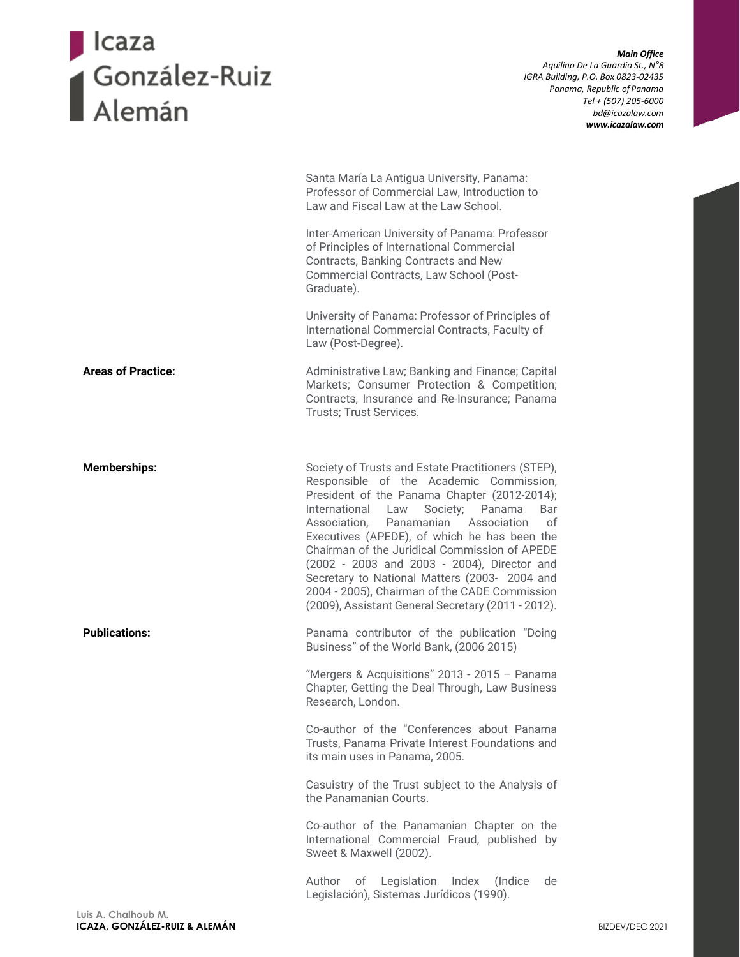## Dicaza<br>Disputador - Ruiz<br>Disputador - Ruiz<br>Disputador - Ruiz

*Main Office Aquilino De La Guardia St., N°8 IGRA Building, P.O. Box 0823-02435 Panama, Republic ofPanama Tel + (507) 205-6000 [bd@icazalaw.com](mailto:bd@icazalaw.com) [www.icazalaw.com](http://www.icazalaw.com/)*

| Inter-American University of Panama: Professor<br>of Principles of International Commercial<br>Contracts, Banking Contracts and New<br>Commercial Contracts, Law School (Post-<br>Graduate).                                                                                                                                                                                                                                                                                                                                                               |
|------------------------------------------------------------------------------------------------------------------------------------------------------------------------------------------------------------------------------------------------------------------------------------------------------------------------------------------------------------------------------------------------------------------------------------------------------------------------------------------------------------------------------------------------------------|
| University of Panama: Professor of Principles of<br>International Commercial Contracts, Faculty of<br>Law (Post-Degree).                                                                                                                                                                                                                                                                                                                                                                                                                                   |
| Administrative Law; Banking and Finance; Capital<br>Markets; Consumer Protection & Competition;<br>Contracts, Insurance and Re-Insurance; Panama<br>Trusts; Trust Services.                                                                                                                                                                                                                                                                                                                                                                                |
| Society of Trusts and Estate Practitioners (STEP),<br>Responsible of the Academic Commission,<br>President of the Panama Chapter (2012-2014);<br>International<br>Society; Panama<br>Law<br>Bar<br>Association.<br>Panamanian<br>Association<br>οf<br>Executives (APEDE), of which he has been the<br>Chairman of the Juridical Commission of APEDE<br>(2002 - 2003 and 2003 - 2004), Director and<br>Secretary to National Matters (2003- 2004 and<br>2004 - 2005), Chairman of the CADE Commission<br>(2009), Assistant General Secretary (2011 - 2012). |
| Panama contributor of the publication "Doing<br>Business" of the World Bank, (2006 2015)                                                                                                                                                                                                                                                                                                                                                                                                                                                                   |
| "Mergers & Acquisitions" 2013 - 2015 - Panama<br>Chapter, Getting the Deal Through, Law Business<br>Research, London.                                                                                                                                                                                                                                                                                                                                                                                                                                      |
| Co-author of the "Conferences about Panama<br>Trusts, Panama Private Interest Foundations and<br>its main uses in Panama, 2005.                                                                                                                                                                                                                                                                                                                                                                                                                            |
| Casuistry of the Trust subject to the Analysis of<br>the Panamanian Courts.                                                                                                                                                                                                                                                                                                                                                                                                                                                                                |
| Co-author of the Panamanian Chapter on the<br>International Commercial Fraud, published by<br>Sweet & Maxwell (2002).                                                                                                                                                                                                                                                                                                                                                                                                                                      |
| Author<br>of<br>Legislation<br>Index<br>(Indice)<br>de<br>Legislación), Sistemas Jurídicos (1990).                                                                                                                                                                                                                                                                                                                                                                                                                                                         |
|                                                                                                                                                                                                                                                                                                                                                                                                                                                                                                                                                            |